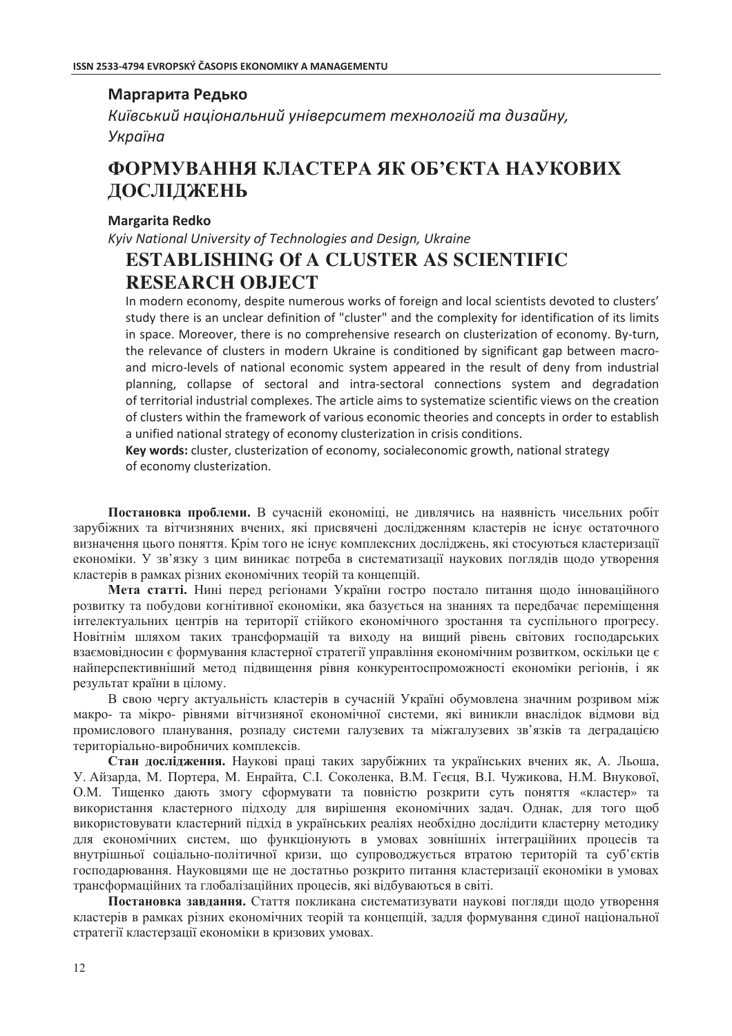## Маргарита Редько

Київський національний університет технологій та дизайну, Україна

# ФОРМУВАННЯ КЛАСТЕРА ЯК ОБ'ЄКТА НАУКОВИХ ДОСЛІДЖЕНЬ

## **Margarita Redko**

Kyiv National University of Technologies and Design, Ukraine **ESTABLISHING Of A CLUSTER AS SCIENTIFIC RESEARCH OBJECT** 

In modern economy, despite numerous works of foreign and local scientists devoted to clusters' study there is an unclear definition of "cluster" and the complexity for identification of its limits in space. Moreover, there is no comprehensive research on clusterization of economy. By-turn. the relevance of clusters in modern Ukraine is conditioned by significant gap between macroand micro-levels of national economic system appeared in the result of deny from industrial planning, collapse of sectoral and intra-sectoral connections system and degradation of territorial industrial complexes. The article aims to systematize scientific views on the creation of clusters within the framework of various economic theories and concepts in order to establish a unified national strategy of economy clusterization in crisis conditions.

Key words: cluster, clusterization of economy, socialeconomic growth, national strategy of economy clusterization.

Постановка проблеми. В сучасній економіці, не дивлячись на наявність чисельних робіт зарубіжних та вітчизняних вчених, які присвячені дослідженням кластерів не існує остаточного визначення цього поняття. Крім того не існує комплексних досліджень, які стосуються кластеризації економіки. У зв'язку з цим виникає потреба в систематизації наукових поглядів щодо утворення кластерів в рамках різних економічних теорій та концепцій.

Мета статті. Нині перед регіонами України гостро постало питання щодо інноваційного розвитку та побудови когнітивної економіки, яка базується на знаннях та передбачає переміщення інтелектуальних центрів на території стійкого економічного зростання та суспільного прогресу. Новітнім шляхом таких трансформацій та виходу на вищий рівень світових господарських взаємовідносин є формування кластерної стратегії управління економічним розвитком, оскільки це є найперспективніший метод підвищення рівня конкурентоспроможності економіки регіонів, і як результат країни в цілому.

В свою чергу актуальність кластерів в сучасній Україні обумовлена значним розривом між макро- та мікро- рівнями вітчизняної економічної системи, які виникли внаслідок відмови від промислового планування, розпаду системи галузевих та міжгалузевих зв'язків та деградацією територіально-виробничих комплексів.

Стан дослідження. Наукові праці таких зарубіжних та українських вчених як, А. Льоша, У. Айзарда, М. Портера, М. Енрайта, С.І. Соколенка, В.М. Геєця, В.І. Чужикова, Н.М. Внукової, О.М. Тищенко дають змогу сформувати та повністю розкрити суть поняття «кластер» та використання кластерного підходу для вирішення економічних задач. Однак, для того щоб використовувати кластерний підхід в українських реаліях необхідно дослідити кластерну методику для економічних систем, що функціонують в умовах зовнішніх інтеграційних процесів та внутрішньої соціально-політичної кризи, що супроводжується втратою територій та суб'єктів господарювання. Науковцями ще не достатньо розкрито питання кластеризації економіки в умовах трансформаційних та глобалізаційних процесів, які відбуваються в світі.

Постановка завдання. Стаття покликана систематизувати наукові погляди щодо утворення кластерів в рамках різних економічних теорій та концепцій, задля формування єдиної національної стратегії кластерзації економіки в кризових умовах.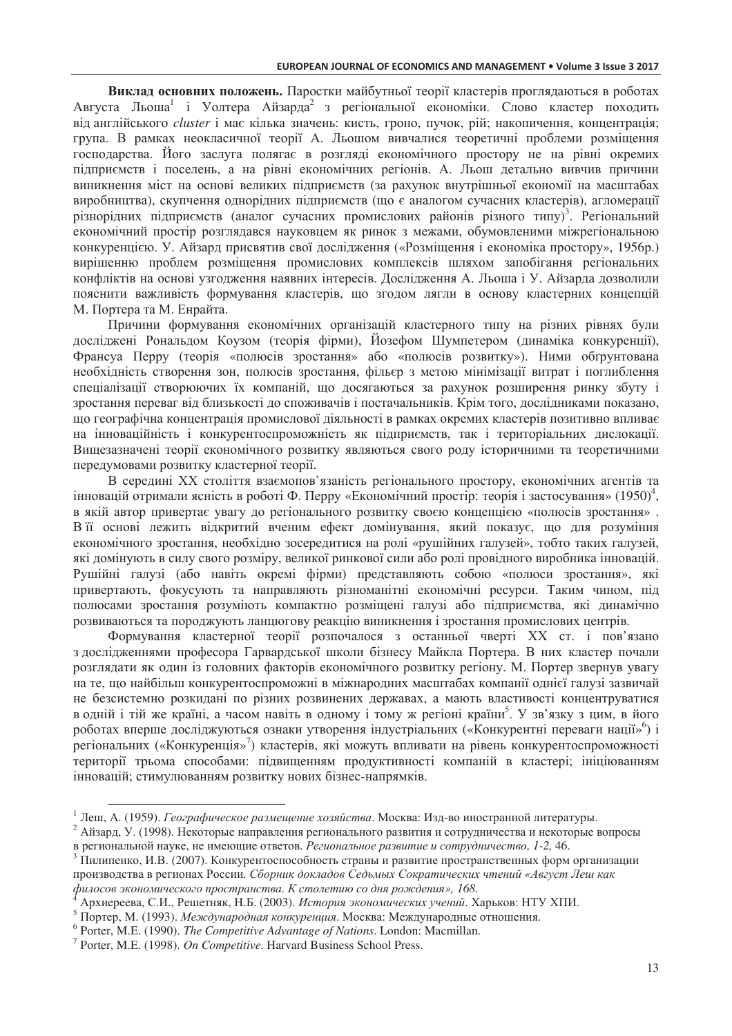Виклад основних положень. Паростки майбутньої теорії кластерів проглядаються в роботах Августа Льоша<sup>1</sup> і Уолтера Айзарда<sup>2</sup> з регіональної економіки. Слово кластер походить від англійського *cluster* і має кілька значень: кисть, гроно, пучок, рій; накопичення, концентрація; група. В рамках неокласичної теорії А. Льошом вивчалися теоретичні проблеми розміщення господарства. Його заслуга полягає в розгляді економічного простору не на рівні окремих пілприємств і поселень, а на рівні економічних регіонів. А. Льош детально вивчив причини виникнення міст на основі великих підприємств (за рахунок внутрішньої економії на масштабах виробництва), скупчення однорідних підприємств (що є аналогом сучасних кластерів), агломерації різнорідних підприємств (аналог сучасних промислових районів різного типу)<sup>3</sup>. Регіональний економічний простір розглядався науковцем як ринок з межами, обумовленими міжрегіональною конкуренцією. У. Айзард присвятив свої дослідження («Розміщення і економіка простору», 1956р.) вирішенню проблем розміщення промислових комплексів шляхом запобігання регіональних конфліктів на основі узгодження наявних інтересів. Дослідження А. Льоша і У. Айзарда дозволили пояснити важливість формування кластерів, що згодом лягли в основу кластерних концепцій М. Портера та М. Енрайта.

Причини формування економічних організацій кластерного типу на різних рівнях були досліджені Рональдом Коузом (теорія фірми), Йозефом Шумпетером (динаміка конкуренції), Франсуа Перру (теорія «полюсів зростання» або «полюсів розвитку»). Ними обґрунтована необхідність створення зон, полюсів зростання, фільєр з метою мінімізації витрат і поглиблення спеціалізації створюючих їх компаній, що досягаються за рахунок розширення ринку збуту і зростання переваг від близькості до споживачів і постачальників. Крім того, дослідниками показано, що географічна концентрація промислової діяльності в рамках окремих кластерів позитивно впливає на інноваційність і конкурентоспроможність як підприємств, так і територіальних дислокації. Вищезазначені теорії економічного розвитку являються свого роду історичними та теоретичними передумовами розвитку кластерної теорії.

В середині XX століття взаємопов'язаність регіонального простору, економічних агентів та інновацій отримали ясність в роботі Ф. Перру «Економічний простір: теорія і застосування» (1950)<sup>4</sup>, в якій автор привертає увагу до регіонального розвитку своєю концепцією «полюсів зростання». В її основі лежить відкритий вченим ефект домінування, який показує, що для розуміння економічного зростання, необхідно зосередитися на ролі «рушійних галузей», тобто таких галузей, які домінують в силу свого розміру, великої ринкової сили або ролі провідного виробника інновацій. Рушійні галузі (або навіть окремі фірми) представляють собою «полюси зростання», які привертають, фокусують та направляють різноманітні економічні ресурси. Таким чином, під полюсами зростання розуміють компактно розміщені галузі або підприємства, які динамічно розвиваються та породжують ланцюгову реакцію виникнення і зростання промислових центрів.

Формування кластерної теорії розпочалося з останньої чверті XX ст. і пов'язано з дослідженнями професора Гарвардської школи бізнесу Майкла Портера. В них кластер почали розглядати як один із головних факторів економічного розвитку регіону. М. Портер звернув увагу на те, що найбільш конкурентоспроможні в міжнародних масштабах компанії однієї галузі зазвичай не безсистемно розкидані по різних розвинених державах, а мають властивості концентруватися в одній і тій же країні, а часом навіть в одному і тому ж регіоні країни<sup>5</sup>. У зв'язку з цим, в його роботах вперше досліджуються ознаки утворення індустріальних («Конкурентні переваги нації»<sup>6</sup>) і регіональних («Конкуренція»<sup>7</sup>) кластерів, які можуть впливати на рівень конкурентоспроможності території трьома способами: підвищенням продуктивності компаній в кластері; ініціюванням інновацій; стимулюванням розвитку нових бізнес-напрямків.

<sup>1</sup> Леш, А. (1959). Географическое размещение хозяйства. Москва: Изд-во иностранной литературы.

<sup>&</sup>lt;sup>2</sup> Айзард, У. (1998). Некоторые направления регионального развития и сотрудничества и некоторые вопросы в региональной науке, не имеющие ответов. Региональное развитие и сотрудничество, 1-2, 46.

<sup>&</sup>lt;sup>3</sup> Пилипенко, И.В. (2007). Конкурентоспособность страны и развитие пространственных форм организации производства в регионах России. Сборник докладов Седьмых Сократических чтений «Август Леш как филосов экономического пространства. К столетию со дня рождения», 168.

Архиереева, С.И., Решетняк, Н.Б. (2003). История экономических учений. Харьков: НТУ ХПИ.

<sup>5</sup> Портер, М. (1993). Международная конкуренция. Москва: Международные отношения.

 $6$  Porter, M.E. (1990). The Competitive Advantage of Nations. London: Macmillan.

 $7$  Porter, M.E. (1998). On Competitive. Harvard Business School Press.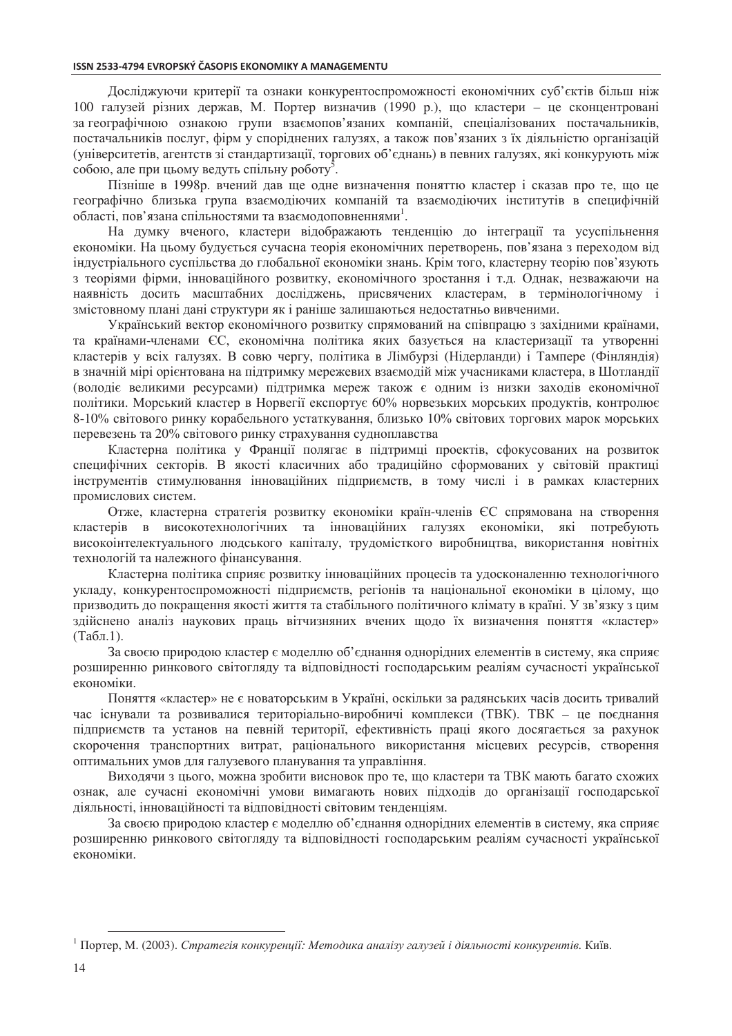Досліджуючи критерії та ознаки конкурентоспроможності економічних суб'єктів більш ніж 100 галузей різних держав, М. Портер визначив (1990 р.), що кластери - це сконцентровані за географічною ознакою групи взаємопов'язаних компаній, спеціалізованих постачальників, постачальників послуг, фірм у споріднених галузях, а також пов'язаних з їх діяльністю організацій (університетів, агентств зі стандартизації, торгових об'єднань) в певних галузях, які конкурують між собою, але при шьому велуть спільну роботу<sup>5</sup>.

Пізніше в 1998р. вчений дав ще одне визначення поняттю кластер і сказав про те, що це географічно близька група взаємодіючих компаній та взаємодіючих інститутів в специфічній області, пов'язана спільностями та взаємодоповненнями<sup>1</sup>.

На думку вченого, кластери відображають тенденцію до інтеграції та усуспільнення економіки. На цьому будується сучасна теорія економічних перетворень, пов'язана з переходом від індустріального суспільства до глобальної економіки знань. Крім того, кластерну теорію пов'язують з теоріями фірми, інноваційного розвитку, економічного зростання і т.д. Однак, незважаючи на наявність досить масштабних досліджень, присвячених кластерам, в термінологічному і змістовному плані дані структури як і раніше залишаються недостатньо вивченими.

Український вектор економічного розвитку спрямований на співпрацю з західними країнами, та країнами-членами ЄС, економічна політика яких базується на кластеризації та утворенні кластерів у всіх галузях. В совю чергу, політика в Лімбурзі (Нідерланди) і Тампере (Фінляндія) в значній мірі орієнтована на підтримку мережевих взаємодій між учасниками кластера, в Шотландії (володіє великими ресурсами) підтримка мереж також є одним із низки заходів економічної політики. Морський кластер в Норвегії експортує 60% норвезьких морських продуктів, контролює 8-10% світового ринку корабельного устаткування, близько 10% світових торгових марок морських перевезень та 20% світового ринку страхування судноплавства

Кластерна політика у Франції полягає в підтримці проектів, сфокусованих на розвиток специфічних секторів. В якості класичних або традиційно сформованих у світовій практиці інструментів стимулювання інноваційних підприємств, в тому числі і в рамках кластерних промислових систем.

Отже, кластерна стратегія розвитку економіки країн-членів ЄС спрямована на створення кластерів в високотехнологічних та інноваційних галузях економіки, які потребують високоінтелектуального людського капіталу, трудомісткого виробництва, використання новітніх технологій та належного фінансування.

Кластерна політика сприяє розвитку інноваційних процесів та удосконаленню технологічного укладу, конкурентоспроможності підприємств, регіонів та національної економіки в цілому, що призводить до покращення якості життя та стабільного політичного клімату в країні. У зв'язку з цим здійснено аналіз наукових праць вітчизняних вчених щодо їх визначення поняття «кластер»  $(Ta\overline{6}n.1).$ 

За своєю природою кластер є моделлю об'єднання однорідних елементів в систему, яка сприяє розширенню ринкового світогляду та відповідності господарським реаліям сучасності української економіки.

Поняття «кластер» не є новаторським в Україні, оскільки за радянських часів досить тривалий час існували та розвивалися територіально-виробничі комплекси (ТВК). ТВК - це поєднання підприємств та установ на певній території, ефективність праці якого досягається за рахунок скорочення транспортних витрат, раціонального використання місцевих ресурсів, створення оптимальних умов для галузевого планування та управління.

Виходячи з цього, можна зробити висновок про те, що кластери та ТВК мають багато схожих ознак, але сучасні економічні умови вимагають нових підходів до організації господарської діяльності, інноваційності та відповідності світовим тенденціям.

За своєю природою кластер є моделлю об'єднання однорідних елементів в систему, яка сприяє розширенню ринкового світогляду та відповідності господарським реаліям сучасності української економіки.

<sup>&</sup>lt;sup>1</sup> Портер, М. (2003). Стратегія конкуренції: Методика аналізу галузей і діяльності конкурентів. Київ.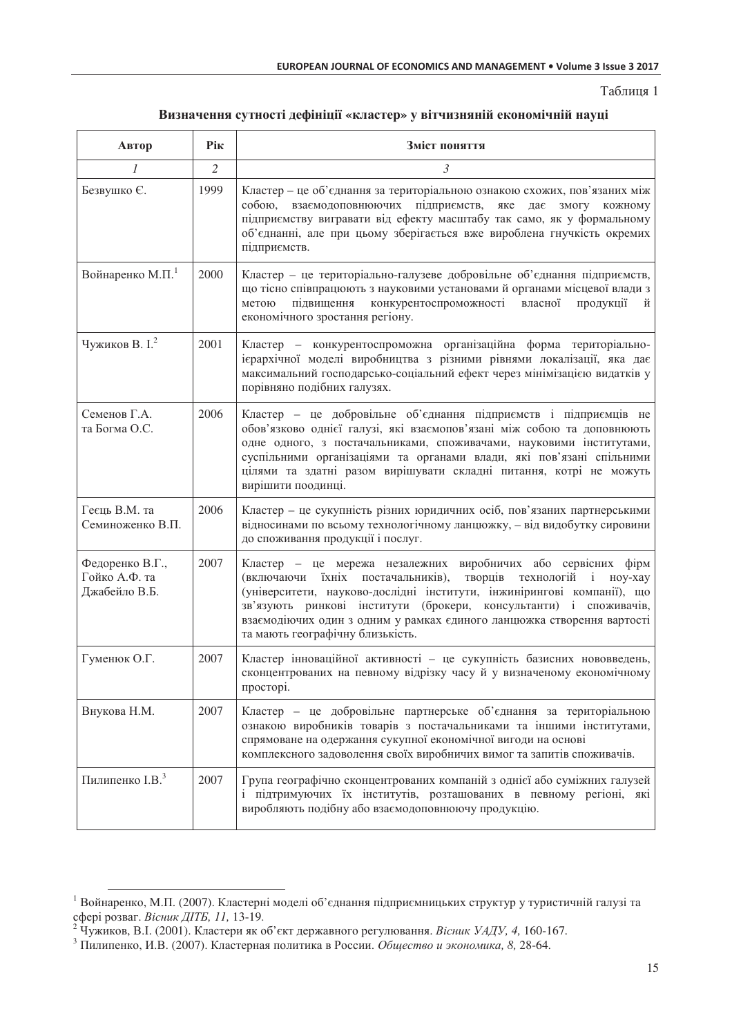Таблиця 1

| Визначення сутності дефініції «кластер» у вітчизняній економічній науці |  |  |
|-------------------------------------------------------------------------|--|--|
|                                                                         |  |  |

| Автор                                             | Рік            | Зміст поняття                                                                                                                                                                                                                                                                                                                                                                                           |  |
|---------------------------------------------------|----------------|---------------------------------------------------------------------------------------------------------------------------------------------------------------------------------------------------------------------------------------------------------------------------------------------------------------------------------------------------------------------------------------------------------|--|
| 1                                                 | $\overline{2}$ | 3                                                                                                                                                                                                                                                                                                                                                                                                       |  |
| Безвушко Є.                                       | 1999           | Кластер - це об'єднання за територіальною ознакою схожих, пов'язаних між<br>собою,<br>взаємодоповнюючих підприємств,<br>яке<br>дає<br>змогу<br>кожному<br>підприємству вигравати від ефекту масштабу так само, як у формальному<br>об'єднанні, але при цьому зберігається вже вироблена гнучкість окремих<br>підприємств.                                                                               |  |
| Войнаренко М.П. <sup>1</sup>                      | 2000           | Кластер - це територіально-галузеве добровільне об'єднання підприємств,<br>що тісно співпрацюють з науковими установами й органами місцевої влади з<br>конкурентоспроможності власної<br>підвищення<br>продукції<br>метою<br>й<br>економічного зростання регіону.                                                                                                                                       |  |
| Чужиков В. І. <sup>2</sup>                        | 2001           | Кластер - конкурентоспроможна організаційна форма територіально-<br>ієрархічної моделі виробництва з різними рівнями локалізації, яка дає<br>максимальний господарсько-соціальний ефект через мінімізацією видатків у<br>порівняно подібних галузях.                                                                                                                                                    |  |
| Семенов Г.А.<br>та Богма О.С.                     | 2006           | Кластер - це добровільне об'єднання підприємств і підприємців не<br>обов'язково однієї галузі, які взаємопов'язані між собою та доповнюють<br>одне одного, з постачальниками, споживачами, науковими інститутами,<br>суспільними організаціями та органами влади, які пов'язані спільними<br>цілями та здатні разом вирішувати складні питання, котрі не можуть<br>вирішити поодинці.                   |  |
| Геєць В.М. та<br>Семиноженко В.П.                 | 2006           | Кластер - це сукупність різних юридичних осіб, пов'язаних партнерськими<br>відносинами по всьому технологічному ланцюжку, - від видобутку сировини<br>до споживання продукції і послуг.                                                                                                                                                                                                                 |  |
| Федоренко В.Г.,<br>Гойко А.Ф. та<br>Джабейло В.Б. | 2007           | Кластер - це мережа незалежних виробничих або сервісних фірм<br>їхніх<br>постачальників),<br>творців технологій і<br>ноу-хау<br>(включаючи<br>(університети, науково-дослідні інститути, інжинірингові компанії), що<br>зв'язують ринкові інститути (брокери, консультанти) і споживачів,<br>взаємодіючих один з одним у рамках єдиного ланцюжка створення вартості<br>та мають географічну близькість. |  |
| Гуменюк О.Г.                                      | 2007           | Кластер інноваційної активності - це сукупність базисних нововведень,<br>сконцентрованих на певному відрізку часу й у визначеному економічному<br>просторі.                                                                                                                                                                                                                                             |  |
| Внукова Н.М.                                      | 2007           | Кластер - це добровільне партнерське об'єднання за територіальною<br>ознакою виробників товарів з постачальниками та іншими інститутами,<br>спрямоване на одержання сукупної економічної вигоди на основі<br>комплексного задоволення своїх виробничих вимог та запитів споживачів.                                                                                                                     |  |
| Пилипенко І.В. <sup>3</sup>                       | 2007           | Група географічно сконцентрованих компаній з однієї або суміжних галузей<br>і підтримуючих їх інститутів, розташованих в певному регіоні, які<br>виробляють подібну або взаємодоповнюючу продукцію.                                                                                                                                                                                                     |  |

<sup>1</sup> Войнаренко, М.П. (2007). Кластерні моделі об'єднання підприємницьких структур у туристичній галузі та ерикирико, или (2001), кластери жедей со одиним идириалицикам отружур у туристи<br>ефері розваг. Вісник ДІТБ, 11, 13-19.<br><sup>2</sup> Чужиков, В.І. (2001). Кластери як об'єкт державного регулювання. Вісник УАДУ, 4, 160-167.

 $3$  Пилипенко, И.В. (2007). Кластерная политика в России. Общество и экономика, 8, 28-64.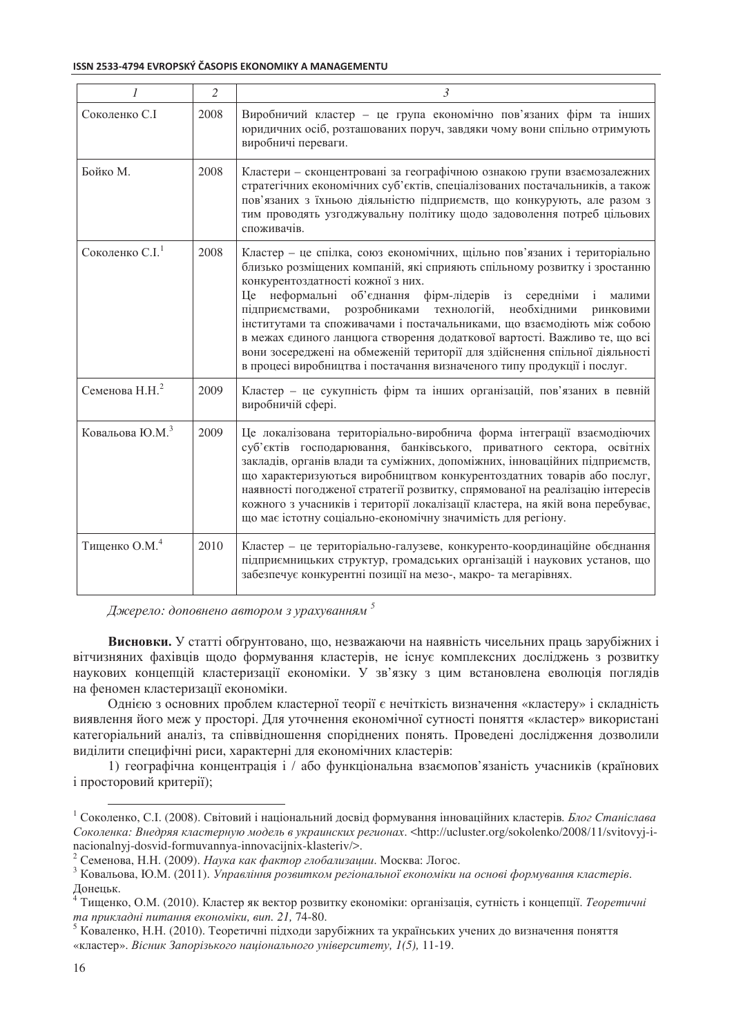### ISSN 2533-4794 EVROPSKÝ ČASOPIS EKONOMIKY A MANAGEMENTU

|                             | $\mathfrak{2}$ | 3                                                                                                                                                                                                                                                                                                                                                                                                                                                                                                                                                                                                                                                                    |
|-----------------------------|----------------|----------------------------------------------------------------------------------------------------------------------------------------------------------------------------------------------------------------------------------------------------------------------------------------------------------------------------------------------------------------------------------------------------------------------------------------------------------------------------------------------------------------------------------------------------------------------------------------------------------------------------------------------------------------------|
| Соколенко С.І               | 2008           | Виробничий кластер - це група економічно пов'язаних фірм та інших<br>юридичних осіб, розташованих поруч, завдяки чому вони спільно отримують<br>виробничі переваги.                                                                                                                                                                                                                                                                                                                                                                                                                                                                                                  |
| Бойко М.                    | 2008           | Кластери - сконцентровані за географічною ознакою групи взаємозалежних<br>стратегічних економічних суб'єктів, спеціалізованих постачальників, а також<br>пов'язаних з їхньою діяльністю підприємств, що конкурують, але разом з<br>тим проводять узгоджувальну політику щодо задоволення потреб цільових<br>споживачів.                                                                                                                                                                                                                                                                                                                                              |
| Соколенко С.І.              | 2008           | Кластер - це спілка, союз економічних, щільно пов'язаних і територіально<br>близько розміщених компаній, які сприяють спільному розвитку і зростанню<br>конкурентоздатності кожної з них.<br>неформальні об'єднання<br>фірм-лідерів із середніми<br><b>I</b> Ie<br>малими<br>розробниками технологій,<br>необхідними<br>підприємствами,<br>ринковими<br>інститутами та споживачами і постачальниками, що взаємодіють між собою<br>в межах єдиного ланцюга створення додаткової вартості. Важливо те, що всі<br>вони зосереджені на обмеженій території для здійснення спільної діяльності<br>в процесі виробництва і постачання визначеного типу продукції і послуг. |
| Семенова Н.Н. <sup>2</sup>  | 2009           | Кластер - це сукупність фірм та інших організацій, пов'язаних в певній<br>виробничій сфері.                                                                                                                                                                                                                                                                                                                                                                                                                                                                                                                                                                          |
| Ковальова Ю.М. <sup>3</sup> | 2009           | Це локалізована територіально-виробнича форма інтеграції взаємодіючих<br>суб'єктів господарювання, банківського, приватного сектора, освітніх<br>закладів, органів влади та суміжних, допоміжних, інноваційних підприємств,<br>що характеризуються виробництвом конкурентоздатних товарів або послуг,<br>наявності погодженої стратегії розвитку, спрямованої на реалізацію інтересів<br>кожного з учасників і території локалізації кластера, на якій вона перебуває,<br>що має істотну соціально-економічну значимість для регіону.                                                                                                                                |
| Тищенко О.М. <sup>4</sup>   | 2010           | Кластер - це територіально-галузеве, конкуренто-координаційне обєднання<br>підприємницьких структур, громадських організацій і наукових установ, що<br>забезпечує конкурентні позиції на мезо-, макро- та мегарівнях.                                                                                                                                                                                                                                                                                                                                                                                                                                                |

|  |  | Джерело: доповнено автором з урахуванням |  |
|--|--|------------------------------------------|--|

Висновки. У статті обґрунтовано, що, незважаючи на наявність чисельних праць зарубіжних і вітчизняних фахівців щодо формування кластерів, не існує комплексних досліджень з розвитку наукових концепцій кластеризації економіки. У зв'язку з цим встановлена еволюція поглядів на феномен кластеризації економіки.

Однією з основних проблем кластерної теорії є нечіткість визначення «кластеру» і складність виявлення його меж у просторі. Для уточнення економічної сутності поняття «кластер» використані категоріальний аналіз, та співвілношення спорілнених понять. Провелені лослілження лозволили виділити специфічні риси, характерні для економічних кластерів:

1) географічна концентрація і / або функціональна взаємопов'язаність учасників (країнових і просторовий критерії);

<sup>&</sup>lt;sup>1</sup> Соколенко, С.І. (2008). Світовий і національний досвід формування інноваційних кластерів. Блог Станіслава Соколенка: Внедряя кластерную модель в украинских регионах. <http://ucluster.org/sokolenko/2008/11/svitovyi-inacionalnyj-dosvid-formuvannya-innovacijnix-klasteriv/>.

<sup>&</sup>lt;sup>2</sup> Семенова, Н.Н. (2009). Наука как фактор глобализации. Москва: Логос.

<sup>&</sup>lt;sup>3</sup> Ковальова, Ю.М. (2011). Управління розвитком регіональної економіки на основі формування кластерів.

Донецьк.<br><sup>4</sup> Тищенко, О.М. (2010). Кластер як вектор розвитку економіки: організація, сутність і концепції. *Теоретичні* та прикладні питання економіки, вип. 21, 74-80.

<sup>&</sup>lt;sup>5</sup> Коваленко, Н.Н. (2010). Теоретичні підходи зарубіжних та українських учених до визначення поняття «кластер». Вісник Запорізького національного університету, 1(5), 11-19.